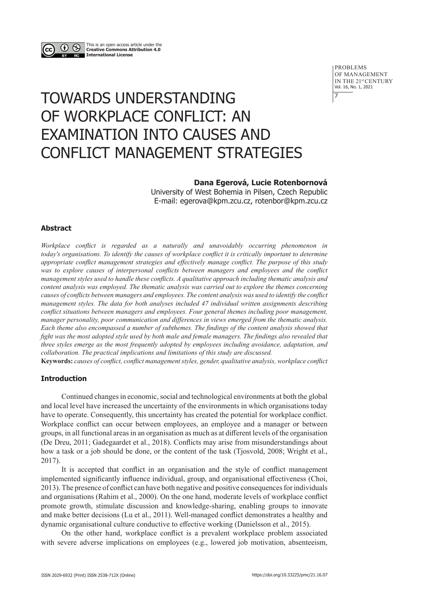

This is an open access article under the **Creative Commons Attribution 4.0 International License**

> **PROBLEMS** OF MANAGEMENT IN THE 21st CENTURY Vol. 16, No. 1, 2021 7

# TOWARDS UNDERSTANDING OF WORKPLACE CONFLICT: AN EXAMINATION INTO CAUSES AND CONFLICT MANAGEMENT STRATEGIES

**Dana Egerová, Lucie Rotenbornová**

University of West Bohemia in Pilsen, Czech Republic E-mail: egerova@kpm.zcu.cz, rotenbor@kpm.zcu.cz

# **Abstract**

*Workplace conflict is regarded as a naturally and unavoidably occurring phenomenon in today's organisations. To identify the causes of workplace conflict it is critically important to determine appropriate conflict management strategies and effectively manage conflict. The purpose of this study was to explore causes of interpersonal conflicts between managers and employees and the conflict management styles used to handle these conflicts. A qualitative approach including thematic analysis and content analysis was employed. The thematic analysis was carried out to explore the themes concerning causes of conflicts between managers and employees. The content analysis was used to identify the conflict management styles. The data for both analyses included 47 individual written assignments describing conflict situations between managers and employees. Four general themes including poor management, manager personality, poor communication and differences in views emerged from the thematic analysis. Each theme also encompassed a number of subthemes. The findings of the content analysis showed that fight was the most adopted style used by both male and female managers. The findings also revealed that three styles emerge as the most frequently adopted by employees including avoidance, adaptation, and collaboration. The practical implications and limitations of this study are discussed.*

**Keywords:** *causes of conflict, conflict management styles, gender, qualitative analysis, workplace conflict*

# **Introduction**

Continued changes in economic, social and technological environments at both the global and local level have increased the uncertainty of the environments in which organisations today have to operate. Consequently, this uncertainty has created the potential for workplace conflict. Workplace conflict can occur between employees, an employee and a manager or between groups, in all functional areas in an organisation as much as at different levels of the organisation (De Dreu, 2011; Gadegaardet et al., 2018). Conflicts may arise from misunderstandings about how a task or a job should be done, or the content of the task (Tjosvold, 2008; Wright et al., 2017).

It is accepted that conflict in an organisation and the style of conflict management implemented significantly influence individual, group, and organisational effectiveness (Choi, 2013). The presence of conflict can have both negative and positive consequences for individuals and organisations (Rahim et al., 2000). On the one hand, moderate levels of workplace conflict promote growth, stimulate discussion and knowledge-sharing, enabling groups to innovate and make better decisions (Lu et al., 2011). Well-managed conflict demonstrates a healthy and dynamic organisational culture conductive to effective working (Danielsson et al., 2015).

On the other hand, workplace conflict is a prevalent workplace problem associated with severe adverse implications on employees (e.g., lowered job motivation, absenteeism,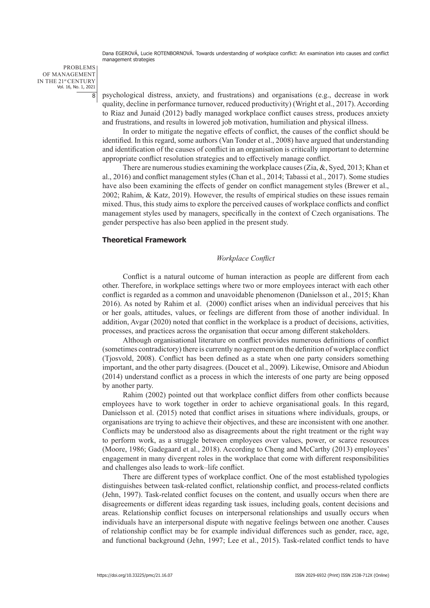PROBLEMS OF MANAGEMENT IN THE 21st CENTURY Vol. 16, No. 1, 2021

8

psychological distress, anxiety, and frustrations) and organisations (e.g., decrease in work quality, decline in performance turnover, reduced productivity) (Wright et al., 2017). According to Riaz and Junaid (2012) badly managed workplace conflict causes stress, produces anxiety and frustrations, and results in lowered job motivation, humiliation and physical illness.

In order to mitigate the negative effects of conflict, the causes of the conflict should be identified. In this regard, some authors (Van Tonder et al., 2008) have argued that understanding and identification of the causes of conflict in an organisation is critically important to determine appropriate conflict resolution strategies and to effectively manage conflict.

There are numerous studies examining the workplace causes (Zia, &, Syed, 2013; Khan et al., 2016) and conflict management styles (Chan et al., 2014; Tabassi et al., 2017). Some studies have also been examining the effects of gender on conflict management styles (Brewer et al., 2002; Rahim, & Katz, 2019). However, the results of empirical studies on these issues remain mixed. Thus, this study aims to explore the perceived causes of workplace conflicts and conflict management styles used by managers, specifically in the context of Czech organisations. The gender perspective has also been applied in the present study.

# **Theoretical Framework**

## *Workplace Conflict*

Conflict is a natural outcome of human interaction as people are different from each other. Therefore, in workplace settings where two or more employees interact with each other conflict is regarded as a common and unavoidable phenomenon (Danielsson et al., 2015; Khan 2016). As noted by Rahim et al. (2000) conflict arises when an individual perceives that his or her goals, attitudes, values, or feelings are different from those of another individual. In addition, Avgar (2020) noted that conflict in the workplace is a product of decisions, activities, processes, and practices across the organisation that occur among different stakeholders.

Although organisational literature on conflict provides numerous definitions of conflict (sometimes contradictory) there is currently no agreement on the definition of workplace conflict (Tjosvold, 2008). Conflict has been defined as a state when one party considers something important, and the other party disagrees. (Doucet et al., 2009). Likewise, Omisore and Abiodun (2014) understand conflict as a process in which the interests of one party are being opposed by another party.

Rahim (2002) pointed out that workplace conflict differs from other conflicts because employees have to work together in order to achieve organisational goals. In this regard, Danielsson et al. (2015) noted that conflict arises in situations where individuals, groups, or organisations are trying to achieve their objectives, and these are inconsistent with one another. Conflicts may be understood also as disagreements about the right treatment or the right way to perform work, as a struggle between employees over values, power, or scarce resources (Moore, 1986; Gadegaard et al., 2018). According to Cheng and McCarthy (2013) employees' engagement in many divergent roles in the workplace that come with different responsibilities and challenges also leads to work–life conflict.

There are different types of workplace conflict. One of the most established typologies distinguishes between task-related conflict, relationship conflict, and process-related conflicts (Jehn, 1997). Task-related conflict focuses on the content, and usually occurs when there are disagreements or different ideas regarding task issues, including goals, content decisions and areas. Relationship conflict focuses on interpersonal relationships and usually occurs when individuals have an interpersonal dispute with negative feelings between one another. Causes of relationship conflict may be for example individual differences such as gender, race, age, and functional background (Jehn, 1997; Lee et al., 2015). Task-related conflict tends to have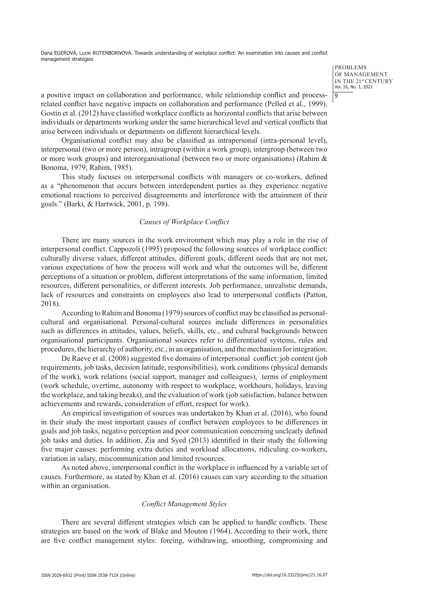> **PROBLEMS** OF MANAGEMENT IN THE 21st CENTURY Vol. 16, No. 1, 2021

 $|q$ 

a positive impact on collaboration and performance, while relationship conflict and processrelated conflict have negative impacts on collaboration and performance (Pelled et al., 1999). Gostin et al. (2012) have classified workplace conflicts as horizontal conflicts that arise between individuals or departments working under the same hierarchical level and vertical conflicts that arise between individuals or departments on different hierarchical levels.

Organisational conflict may also be classified as intrapersonal (intra-personal level), interpersonal (two or more person), intragroup (within a work group), intergroup (between two or more work groups) and interorganisational (between two or more organisations) (Rahim & Bonoma, 1979; Rahim, 1985).

This study focuses on interpersonal conflicts with managers or co-workers, defined as a "phenomenon that occurs between interdependent parties as they experience negative emotional reactions to perceived disagreements and interference with the attainment of their goals." (Barki, & Hartwick, 2001, p. 198).

# *Causes of Workplace Conflict*

There are many sources in the work environment which may play a role in the rise of interpersonal conflict. Cappozoli (1995) proposed the following sources of workplace conflict: culturally diverse values, different attitudes, different goals, different needs that are not met, various expectations of how the process will work and what the outcomes will be, different perceptions of a situation or problem, different interpretations of the same information, limited resources, different personalities, or different interests. Job performance, unrealistic demands, lack of resources and constraints on employees also lead to interpersonal conflicts (Patton, 2018).

According to Rahim and Bonoma (1979) sources of conflict may be classified as personalcultural and organisational. Personal-cultural sources include differences in personalities such as differences in attitudes, values, beliefs, skills, etc., and cultural backgrounds between organisational participants. Organisational sources refer to differentiated systems, rules and procedures, the hierarchy of authority, etc., in an organisation, and the mechanism for integration.

De Raeve et al. (2008) suggested five domains of interpersonal conflict: job content (job requirements, job tasks, decision latitude, responsibilities), work conditions (physical demands of the work), work relations (social support, manager and colleagues), terms of employment (work schedule, overtime, autonomy with respect to workplace, workhours, holidays, leaving the workplace, and taking breaks), and the evaluation of work (job satisfaction, balance between achievements and rewards, consideration of effort, respect for work).

An empirical investigation of sources was undertaken by Khan et al. (2016), who found in their study the most important causes of conflict between employees to be differences in goals and job tasks, negative perception and poor communication concerning unclearly defined job tasks and duties. In addition, Zia and Syed (2013) identified in their study the following five major causes: performing extra duties and workload allocations, ridiculing co-workers, variation in salary, miscommunication and limited resources.

As noted above, interpersonal conflict in the workplace is influenced by a variable set of causes. Furthermore, as stated by Khan et al. (2016) causes can vary according to the situation within an organisation.

## *Conflict Management Styles*

There are several different strategies which can be applied to handle conflicts. These strategies are based on the work of Blake and Mouton (1964). According to their work, there are five conflict management styles: forcing, withdrawing, smoothing, compromising and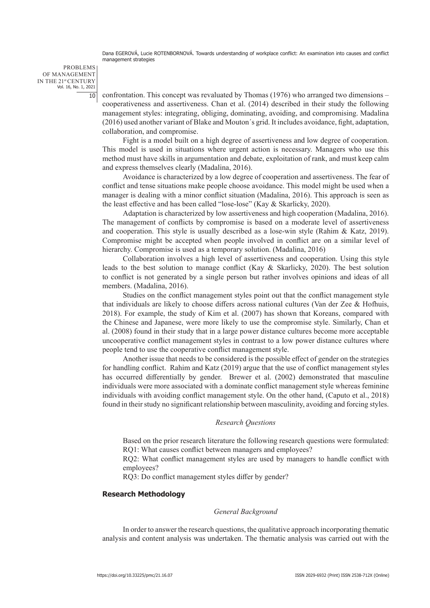PROBLEMS OF MANAGEMENT IN THE 21st CENTURY Vol. 16, No. 1, 2021 10

confrontation. This concept was revaluated by Thomas (1976) who arranged two dimensions – cooperativeness and assertiveness. Chan et al. (2014) described in their study the following management styles: integrating, obliging, dominating, avoiding, and compromising. Madalina (2016) used another variant of Blake and Mouton´s grid. It includes avoidance, fight, adaptation, collaboration, and compromise.

Fight is a model built on a high degree of assertiveness and low degree of cooperation. This model is used in situations where urgent action is necessary. Managers who use this method must have skills in argumentation and debate, exploitation of rank, and must keep calm and express themselves clearly (Madalina, 2016).

Avoidance is characterized by a low degree of cooperation and assertiveness. The fear of conflict and tense situations make people choose avoidance. This model might be used when a manager is dealing with a minor conflict situation (Madalina, 2016). This approach is seen as the least effective and has been called "lose-lose" (Kay & Skarlicky, 2020).

Adaptation is characterized by low assertiveness and high cooperation (Madalina, 2016). The management of conflicts by compromise is based on a moderate level of assertiveness and cooperation. This style is usually described as a lose-win style (Rahim & Katz, 2019). Compromise might be accepted when people involved in conflict are on a similar level of hierarchy. Compromise is used as a temporary solution. (Madalina, 2016)

Collaboration involves a high level of assertiveness and cooperation. Using this style leads to the best solution to manage conflict (Kay & Skarlicky, 2020). The best solution to conflict is not generated by a single person but rather involves opinions and ideas of all members. (Madalina, 2016).

Studies on the conflict management styles point out that the conflict management style that individuals are likely to choose differs across national cultures (Van der Zee & Hofhuis, 2018). For example, the study of Kim et al. (2007) has shown that Koreans, compared with the Chinese and Japanese, were more likely to use the compromise style. Similarly, Chan et al. (2008) found in their study that in a large power distance cultures become more acceptable uncooperative conflict management styles in contrast to a low power distance cultures where people tend to use the cooperative conflict management style.

Another issue that needs to be considered is the possible effect of gender on the strategies for handling conflict. Rahim and Katz (2019) argue that the use of conflict management styles has occurred differentially by gender. Brewer et al. (2002) demonstrated that masculine individuals were more associated with a dominate conflict management style whereas feminine individuals with avoiding conflict management style. On the other hand, (Caputo et al., 2018) found in their study no significant relationship between masculinity, avoiding and forcing styles.

#### *Research Questions*

Based on the prior research literature the following research questions were formulated: RQ1: What causes conflict between managers and employees?

RQ2: What conflict management styles are used by managers to handle conflict with employees?

RQ3: Do conflict management styles differ by gender?

## **Research Methodology**

#### *General Background*

In order to answer the research questions, the qualitative approach incorporating thematic analysis and content analysis was undertaken. The thematic analysis was carried out with the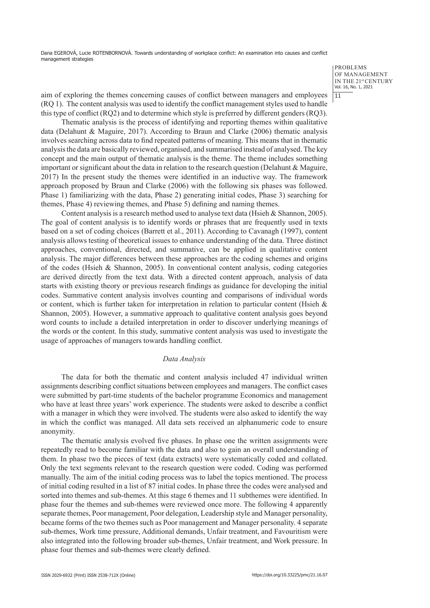> **PROBLEMS** OF MANAGEMENT IN THE 21st CENTURY Vol. 16, No. 1, 2021  $111$

aim of exploring the themes concerning causes of conflict between managers and employees (RQ 1). The content analysis was used to identify the conflict management styles used to handle this type of conflict (RQ2) and to determine which style is preferred by different genders (RQ3).

Thematic analysis is the process of identifying and reporting themes within qualitative data (Delahunt & Maguire, 2017). According to Braun and Clarke (2006) thematic analysis involves searching across data to find repeated patterns of meaning. This means that in thematic analysis the data are basically reviewed, organised, and summarised instead of analysed. The key concept and the main output of thematic analysis is the theme. The theme includes something important or significant about the data in relation to the research question (Delahunt  $\&$  Maguire, 2017) In the present study the themes were identified in an inductive way. The framework approach proposed by Braun and Clarke (2006) with the following six phases was followed. Phase 1) familiarizing with the data, Phase 2) generating initial codes, Phase 3) searching for themes, Phase 4) reviewing themes, and Phase 5) defining and naming themes.

Content analysis is a research method used to analyse text data (Hsieh & Shannon, 2005). The goal of content analysis is to identify words or phrases that are frequently used in texts based on a set of coding choices (Barrett et al., 2011). According to Cavanagh (1997), content analysis allows testing of theoretical issues to enhance understanding of the data. Three distinct approaches, conventional, directed, and summative, can be applied in qualitative content analysis. The major differences between these approaches are the coding schemes and origins of the codes (Hsieh & Shannon, 2005). In conventional content analysis, coding categories are derived directly from the text data. With a directed content approach, analysis of data starts with existing theory or previous research findings as guidance for developing the initial codes. Summative content analysis involves counting and comparisons of individual words or content, which is further taken for interpretation in relation to particular content (Hsieh & Shannon, 2005). However, a summative approach to qualitative content analysis goes beyond word counts to include a detailed interpretation in order to discover underlying meanings of the words or the content. In this study, summative content analysis was used to investigate the usage of approaches of managers towards handling conflict.

## *Data Analysis*

The data for both the thematic and content analysis included 47 individual written assignments describing conflict situations between employees and managers. The conflict cases were submitted by part-time students of the bachelor programme Economics and management who have at least three years' work experience. The students were asked to describe a conflict with a manager in which they were involved. The students were also asked to identify the way in which the conflict was managed. All data sets received an alphanumeric code to ensure anonymity.

The thematic analysis evolved five phases. In phase one the written assignments were repeatedly read to become familiar with the data and also to gain an overall understanding of them. In phase two the pieces of text (data extracts) were systematically coded and collated. Only the text segments relevant to the research question were coded. Coding was performed manually. The aim of the initial coding process was to label the topics mentioned. The process of initial coding resulted in a list of 87 initial codes. In phase three the codes were analysed and sorted into themes and sub-themes. At this stage 6 themes and 11 subthemes were identified. In phase four the themes and sub-themes were reviewed once more. The following 4 apparently separate themes, Poor management, Poor delegation, Leadership style and Manager personality, became forms of the two themes such as Poor management and Manager personality. 4 separate sub-themes, Work time pressure, Additional demands, Unfair treatment, and Favouritism were also integrated into the following broader sub-themes, Unfair treatment, and Work pressure. In phase four themes and sub-themes were clearly defined.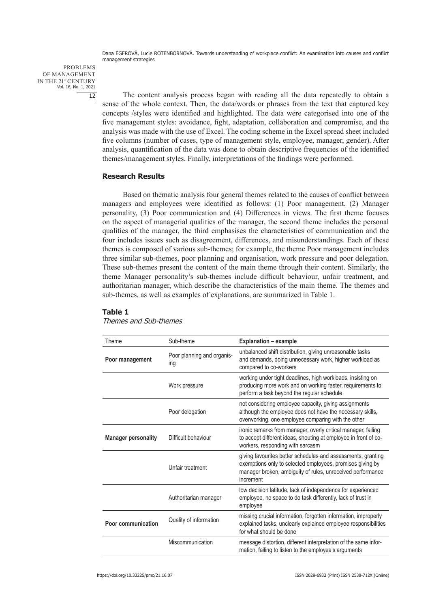PROBLEMS OF MANAGEMENT IN THE 21st CENTURY Vol. 16, No. 1, 2021 12

The content analysis process began with reading all the data repeatedly to obtain a sense of the whole context. Then, the data/words or phrases from the text that captured key concepts /styles were identified and highlighted. The data were categorised into one of the five management styles: avoidance, fight, adaptation, collaboration and compromise, and the analysis was made with the use of Excel. The coding scheme in the Excel spread sheet included five columns (number of cases, type of management style, employee, manager, gender). After analysis, quantification of the data was done to obtain descriptive frequencies of the identified themes/management styles. Finally, interpretations of the findings were performed.

# **Research Results**

Based on thematic analysis four general themes related to the causes of conflict between managers and employees were identified as follows: (1) Poor management, (2) Manager personality, (3) Poor communication and (4) Differences in views. The first theme focuses on the aspect of managerial qualities of the manager, the second theme includes the personal qualities of the manager, the third emphasises the characteristics of communication and the four includes issues such as disagreement, differences, and misunderstandings. Each of these themes is composed of various sub-themes; for example, the theme Poor management includes three similar sub-themes, poor planning and organisation, work pressure and poor delegation. These sub-themes present the content of the main theme through their content. Similarly, the theme Manager personality's sub-themes include difficult behaviour, unfair treatment, and authoritarian manager, which describe the characteristics of the main theme. The themes and sub-themes, as well as examples of explanations, are summarized in Table 1.

# **Table 1**

| Theme                      | Sub-theme                         | Explanation - example                                                                                                                                                                                |
|----------------------------|-----------------------------------|------------------------------------------------------------------------------------------------------------------------------------------------------------------------------------------------------|
| Poor management            | Poor planning and organis-<br>ing | unbalanced shift distribution, giving unreasonable tasks<br>and demands, doing unnecessary work, higher workload as<br>compared to co-workers                                                        |
|                            | Work pressure                     | working under tight deadlines, high workloads, insisting on<br>producing more work and on working faster, requirements to<br>perform a task beyond the regular schedule                              |
|                            | Poor delegation                   | not considering employee capacity, giving assignments<br>although the employee does not have the necessary skills,<br>overworking, one employee comparing with the other                             |
| <b>Manager personality</b> | Difficult behaviour               | ironic remarks from manager, overly critical manager, failing<br>to accept different ideas, shouting at employee in front of co-<br>workers, responding with sarcasm                                 |
|                            | Unfair treatment                  | giving favourites better schedules and assessments, granting<br>exemptions only to selected employees, promises giving by<br>manager broken, ambiguity of rules, unreceived performance<br>increment |
|                            | Authoritarian manager             | low decision latitude, lack of independence for experienced<br>employee, no space to do task differently, lack of trust in<br>employee                                                               |
| Poor communication         | Quality of information            | missing crucial information, forgotten information, improperly<br>explained tasks, unclearly explained employee responsibilities<br>for what should be done                                          |
|                            | Miscommunication                  | message distortion, different interpretation of the same infor-<br>mation, failing to listen to the employee's arguments                                                                             |

# Themes and Sub-themes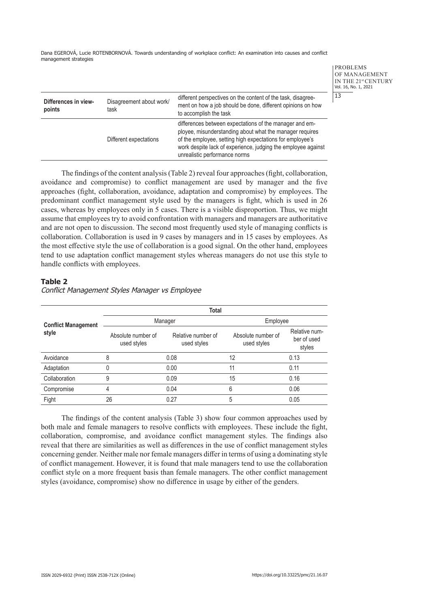> PROBLEMS OF MANAGEMENT IN THE 21st CENTURY Vol. 16, No. 1, 2021

|                                |                                  |                                                                                                                                                                                                                                                                                    | <b>VUI.</b> 1 |
|--------------------------------|----------------------------------|------------------------------------------------------------------------------------------------------------------------------------------------------------------------------------------------------------------------------------------------------------------------------------|---------------|
| Differences in view-<br>points | Disagreement about work/<br>task | different perspectives on the content of the task, disagree-<br>ment on how a job should be done, different opinions on how<br>to accomplish the task                                                                                                                              | 13            |
|                                | Different expectations           | differences between expectations of the manager and em-<br>ployee, misunderstanding about what the manager requires<br>of the employee, setting high expectations for employee's<br>work despite lack of experience, judging the employee against<br>unrealistic performance norms |               |

The findings of the content analysis (Table 2) reveal four approaches (fight, collaboration, avoidance and compromise) to conflict management are used by manager and the five approaches (fight, collaboration, avoidance, adaptation and compromise) by employees. The predominant conflict management style used by the managers is fight, which is used in 26 cases, whereas by employees only in 5 cases. There is a visible disproportion. Thus, we might assume that employees try to avoid confrontation with managers and managers are authoritative and are not open to discussion. The second most frequently used style of managing conflicts is collaboration. Collaboration is used in 9 cases by managers and in 15 cases by employees. As the most effective style the use of collaboration is a good signal. On the other hand, employees tend to use adaptation conflict management styles whereas managers do not use this style to handle conflicts with employees.

# **Table 2**

# Conflict Management Styles Manager vs Employee

|                                     | <b>Total</b>                      |                                   |                                   |                                        |  |
|-------------------------------------|-----------------------------------|-----------------------------------|-----------------------------------|----------------------------------------|--|
| <b>Conflict Management</b><br>style | Manager                           |                                   | Employee                          |                                        |  |
|                                     | Absolute number of<br>used styles | Relative number of<br>used styles | Absolute number of<br>used styles | Relative num-<br>ber of used<br>styles |  |
| Avoidance                           | 8                                 | 0.08                              | 12                                | 0.13                                   |  |
| Adaptation                          | 0                                 | 0.00                              | 11                                | 0.11                                   |  |
| Collaboration                       | 9                                 | 0.09                              | 15                                | 0.16                                   |  |
| Compromise                          | 4                                 | 0.04                              | 6                                 | 0.06                                   |  |
| Fight                               | 26                                | 0.27                              | 5                                 | 0.05                                   |  |

The findings of the content analysis (Table 3) show four common approaches used by both male and female managers to resolve conflicts with employees. These include the fight, collaboration, compromise, and avoidance conflict management styles. The findings also reveal that there are similarities as well as differences in the use of conflict management styles concerning gender. Neither male nor female managers differ in terms of using a dominating style of conflict management. However, it is found that male managers tend to use the collaboration conflict style on a more frequent basis than female managers. The other conflict management styles (avoidance, compromise) show no difference in usage by either of the genders.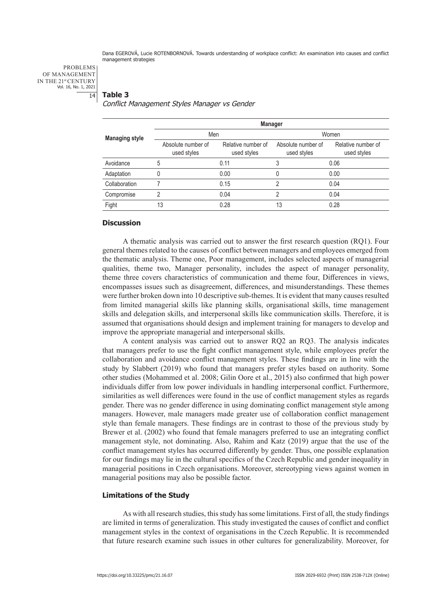PROBLEMS OF MANAGEMENT IN THE 21st CENTURY Vol. 16, No. 1, 2021 14

# **Table 3**

Conflict Management Styles Manager vs Gender

|                       | <b>Manager</b>                    |                                   |                                   |                                   |
|-----------------------|-----------------------------------|-----------------------------------|-----------------------------------|-----------------------------------|
| <b>Managing style</b> | Men                               |                                   | Women                             |                                   |
|                       | Absolute number of<br>used styles | Relative number of<br>used styles | Absolute number of<br>used styles | Relative number of<br>used styles |
| Avoidance             | 5                                 | 0.11                              | 3                                 | 0.06                              |
| Adaptation            | 0                                 | 0.00                              |                                   | 0.00                              |
| Collaboration         |                                   | 0.15                              |                                   | 0.04                              |
| Compromise            | っ                                 | 0.04                              | ኅ                                 | 0.04                              |
| Fight                 | 13                                | 0.28                              | 13                                | 0.28                              |

# **Discussion**

A thematic analysis was carried out to answer the first research question (RQ1). Four general themes related to the causes of conflict between managers and employees emerged from the thematic analysis. Theme one, Poor management, includes selected aspects of managerial qualities, theme two, Manager personality, includes the aspect of manager personality, theme three covers characteristics of communication and theme four, Differences in views, encompasses issues such as disagreement, differences, and misunderstandings. These themes were further broken down into 10 descriptive sub-themes. It is evident that many causes resulted from limited managerial skills like planning skills, organisational skills, time management skills and delegation skills, and interpersonal skills like communication skills. Therefore, it is assumed that organisations should design and implement training for managers to develop and improve the appropriate managerial and interpersonal skills.

A content analysis was carried out to answer RQ2 an RQ3. The analysis indicates that managers prefer to use the fight conflict management style, while employees prefer the collaboration and avoidance conflict management styles. These findings are in line with the study by Slabbert (2019) who found that managers prefer styles based on authority. Some other studies (Mohammed et al. 2008; Gilin Oore et al., 2015) also confirmed that high power individuals differ from low power individuals in handling interpersonal conflict. Furthermore, similarities as well differences were found in the use of conflict management styles as regards gender. There was no gender difference in using dominating conflict management style among managers. However, male managers made greater use of collaboration conflict management style than female managers. These findings are in contrast to those of the previous study by Brewer et al. (2002) who found that female managers preferred to use an integrating conflict management style, not dominating. Also, Rahim and Katz (2019) argue that the use of the conflict management styles has occurred differently by gender. Thus, one possible explanation for our findings may lie in the cultural specifics of the Czech Republic and gender inequality in managerial positions in Czech organisations. Moreover, stereotyping views against women in managerial positions may also be possible factor.

# **Limitations of the Study**

As with all research studies, this study has some limitations. First of all, the study findings are limited in terms of generalization. This study investigated the causes of conflict and conflict management styles in the context of organisations in the Czech Republic. It is recommended that future research examine such issues in other cultures for generalizability. Moreover, for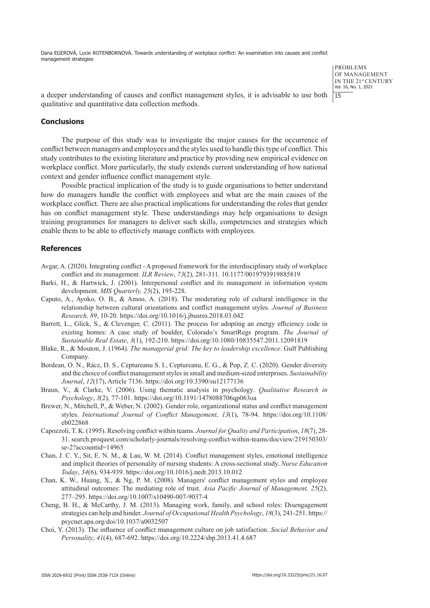> **PROBLEMS** OF MANAGEMENT IN THE 21st CENTURY Vol. 16, No. 1, 2021  $15$

a deeper understanding of causes and conflict management styles, it is advisable to use both qualitative and quantitative data collection methods.

# **Conclusions**

The purpose of this study was to investigate the major causes for the occurrence of conflict between managers and employees and the styles used to handle this type of conflict. This study contributes to the existing literature and practice by providing new empirical evidence on workplace conflict. More particularly, the study extends current understanding of how national context and gender influence conflict management style.

Possible practical implication of the study is to guide organisations to better understand how do managers handle the conflict with employees and what are the main causes of the workplace conflict. There are also practical implications for understanding the roles that gender has on conflict management style. These understandings may help organisations to design training programmes for managers to deliver such skills, competencies and strategies which enable them to be able to effectively manage conflicts with employees.

# **References**

- Avgar, A. (2020). Integrating conflict A proposed framework for the interdisciplinary study of workplace conflict and its management*. ILR Review*, *73*(2), 281-311. 10.1177/0019793919885819
- Barki, H., & Hartwick, J. (2001). Interpersonal conflict and its management in information system development. *MIS Quarterly, 25*(2), 195-228.
- Caputo, A., Ayoko, O. B., & Amoo, A. (2018). The moderating role of cultural intelligence in the relationship between cultural orientations and conflict management styles. *Journal of Business Research, 89*, 10-20. https://doi.org/10.1016/j.jbusres.2018.03.042
- Barrett, L., Glick, S., & Clevenger, C. (2011). The process for adopting an energy efficiency code in existing homes: A case study of boulder, Colorado's SmartRegs program. *The Journal of Sustainable Real Estate*, *3*(1), 192-210. https://doi.org/10.1080/10835547.2011.12091819
- Blake, R., & Mouton, J. (1964). *The managerial grid: The key to leadership excellence*. Gulf Publishing Company.
- Bordean, O. N., Rácz, D. S., Ceptureanu S. I., Ceptureanu, E. G., & Pop, Z. C. (2020). Gender diversity and the choice of conflict management styles in small and medium-sized enterprises. *Sustainability Journal*, *12*(17), Article 7136. https://doi.org/10.3390/su12177136
- Braun, V., & Clarke, V. (2006). Using thematic analysis in psychology. *Qualitative Research in Psychology*, *3*(2), 77-101. https://doi.org/10.1191/1478088706qp063oa
- Brewer, N., Mitchell, P., & Weber, N. (2002). Gender role, organizational status and conflict management styles. *International Journal of Conflict Management*, *13*(1), 78-94. https://doi.org/10.1108/ eb022868
- Capozzoli, T. K. (1995). Resolving conflict within teams. *Journal for Quality and Participation*, *18*(7), 28- 31. search.proquest.com/scholarly-journals/resolving-conflict-within-teams/docview/219150303/ se-2?accountid=14965
- Chan, J. C. Y., Sit, E. N. M., & Lau, W. M. (2014). Conflict management styles, emotional intelligence and implicit theories of personality of nursing students: A cross-sectional study. *Nurse Education Today*, *34*(6), 934-939. https://doi.org/10.1016/j.nedt.2013.10.012
- Chan, K. W., Huang, X., & Ng, P. M. (2008). Managers' conflict management styles and employee attitudinal outcomes: The mediating role of trust. *Asia Pacific Journal of Management, 25*(2), 277–295. https://doi.org/10.1007/s10490-007-9037-4
- Cheng, B. H., & McCarthy, J. M. (2013). Managing work, family, and school roles: Disengagement strategies can help and hinder. *Journal of Occupational Health Psychology*, *18*(3), 241-251. https:// psycnet.apa.org/doi/10.1037/a0032507
- Choi, Y. (2013). The influence of conflict management culture on job satisfaction. *Social Behavior and Personality*, *41*(4), 687-692. https://doi.org/10.2224/sbp.2013.41.4.687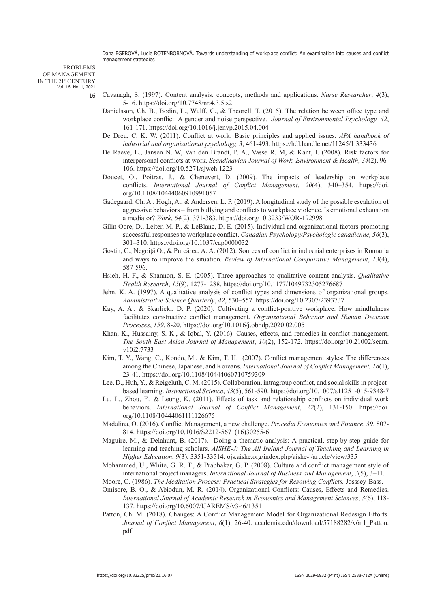PROBLEMS OF MANAGEMENT IN THE 21st CENTURY Vol. 16, No. 1, 2021 16

- Cavanagh, S. (1997). Content analysis: concepts, methods and applications. *Nurse Researcher*, *4*(3), 5-16. https://doi.org/10.7748/nr.4.3.5.s2
- Danielsson, Ch. B., Bodin, L., Wulff, C., & Theorell, T. (2015). The relation between office type and workplace conflict: A gender and noise perspective. *Journal of Environmental Psychology, 42*, 161-171. https://doi.org/10.1016/j.jenvp.2015.04.004
- De Dreu, C. K. W. (2011). Conflict at work: Basic principles and applied issues. *APA handbook of industrial and organizational psychology, 3*, 461-493. https://hdl.handle.net/11245/1.333436
- De Raeve, L., Jansen N. W, Van den Brandt, P. A., Vasse R. M, & Kant, I. (2008). Risk factors for interpersonal conflicts at work. *Scandinavian Journal of Work, Environment & Health*, *34*(2), 96- 106. https://doi.org/10.5271/sjweh.1223
- Doucet, O., Poitras, J., & Chenevert, D. (2009). The impacts of leadership on workplace conflicts. *International Journal of Conflict Management*, *20*(4), 340–354. https://doi. org/10.1108/10444060910991057
- Gadegaard, Ch. A., Hogh, A., & Andersen, L. P. (2019). A longitudinal study of the possible escalation of aggressive behaviors – from bullying and conflicts to workplace violence. Is emotional exhaustion a mediator? *Work*, *64*(2), 371-383. https://doi.org/10.3233/WOR-192998
- Gilin Oore, D., Leiter, M. P., & LeBlanc, D. E. (2015). Individual and organizational factors promoting successful responses to workplace conflict. *Canadian Psychology/Psychologie canadienne, 56*(3), 301–310. https://doi.org/10.1037/cap0000032
- Gostin, C., Negoită O., & Purcărea, A. A. (2012). Sources of conflict in industrial enterprises in Romania and ways to improve the situation. *Review of International Comparative Management*, *13*(4), 587-596.
- Hsieh, H. F., & Shannon, S. E. (2005). Three approaches to qualitative content analysis. *Qualitative Health Research*, *15*(9), 1277-1288. https://doi.org/10.1177/1049732305276687
- Jehn, K. A. (1997). A qualitative analysis of conflict types and dimensions of organizational groups. *Administrative Science Quarterly*, *42*, 530–557. https://doi.org/10.2307/2393737
- Kay, A. A., & Skarlicki, D. P. (2020). Cultivating a conflict-positive workplace. How mindfulness facilitates constructive conflict management. *Organizational Behavior and Human Decision Processes*, *159*, 8-20. https://doi.org/10.1016/j.obhdp.2020.02.005
- Khan, K., Hussainy, S. K., & Iqbal, Y. (2016). Causes, effects, and remedies in conflict management. *The South East Asian Journal of Management*, *10*(2), 152-172. https://doi.org/10.21002/seam. v10i2.7733
- Kim, T. Y., Wang, C., Kondo, M., & Kim, T. H. (2007). Conflict management styles: The differences among the Chinese, Japanese, and Koreans. *International Journal of Conflict Management, 18*(1), 23-41. https://doi.org/10.1108/10444060710759309
- Lee, D., Huh, Y., & Reigeluth, C. M. (2015). Collaboration, intragroup conflict, and social skills in projectbased learning. *Instructional Science*, *43*(5), 561-590. https://doi.org/10.1007/s11251-015-9348-7
- Lu, L., Zhou, F., & Leung, K. (2011). Effects of task and relationship conflicts on individual work behaviors. *International Journal of Conflict Management*, *22*(2), 131-150. https://doi. org/10.1108/10444061111126675
- Madalina, O. (2016). Conflict Management, a new challenge. *Procedia Economics and Finance*, *39*, 807- 814. https://doi.org/10.1016/S2212-5671(16)30255-6
- Maguire, M., & Delahunt, B. (2017). Doing a thematic analysis: A practical, step-by-step guide for learning and teaching scholars. *AISHE-J: The All Ireland Journal of Teaching and Learning in Higher Education*, *9*(3), 3351-33514. ojs.aishe.org/index.php/aishe-j/article/view/335
- Mohammed, U., White, G. R. T., & Prabhakar, G. P. (2008). Culture and conflict management style of international project managers. *International Journal of Business and Management*, *3*(5), 3–11.
- Moore, C. (1986). *The Meditation Process: Practical Strategies for Resolving Conflicts.* Josssey-Bass.
- Omisore, B. O., & Abiodun, M. R. (2014). Organizational Conflicts: Causes, Effects and Remedies. *International Journal of Academic Research in Economics and Management Sciences*, *3*(6), 118- 137. https://doi.org/10.6007/IJAREMS/v3-i6/1351
- Patton, Ch. M. (2018). Changes: A Conflict Management Model for Organizational Redesign Efforts. *Journal of Conflict Management*, *6*(1), 26-40. academia.edu/download/57188282/v6n1\_Patton. pdf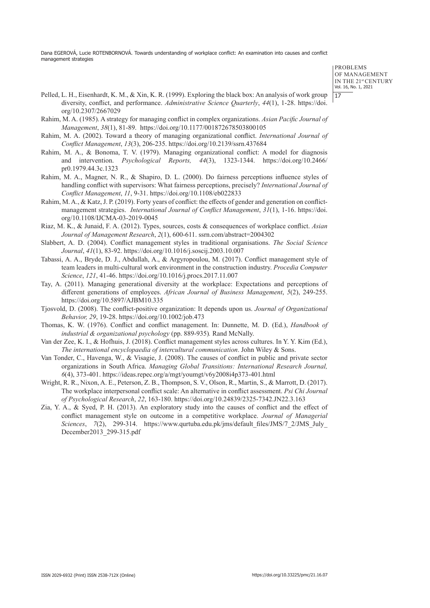> PROBLEMS OF MANAGEMENT IN THE 21st CENTURY Vol. 16, No. 1, 2021  $17$

- Pelled, L. H., Eisenhardt, K. M., & Xin, K. R. (1999). Exploring the black box: An analysis of work group diversity, conflict, and performance. *Administrative Science Quarterly*, *44*(1), 1-28. https://doi. org/10.2307/2667029
- Rahim, M. A. (1985). A strategy for managing conflict in complex organizations. *Asian Pacific Journal of Management*, *38*(1), 81-89. https://doi.org/10.1177/001872678503800105
- Rahim, M. A. (2002). Toward a theory of managing organizational conflict. *International Journal of Conflict Management*, *13*(3), 206-235. https://doi.org/10.2139/ssrn.437684
- Rahim, M. A., & Bonoma, T. V. (1979). Managing organizational conflict: A model for diagnosis and intervention. *Psychological Reports, 44*(3), 1323-1344. https://doi.org/10.2466/ pr0.1979.44.3c.1323
- Rahim, M. A., Magner, N. R., & Shapiro, D. L. (2000). Do fairness perceptions influence styles of handling conflict with supervisors: What fairness perceptions, precisely? *International Journal of Conflict Management*, *11*, 9-31. https://doi.org/10.1108/eb022833
- Rahim, M. A., & Katz, J. P. (2019). Forty years of conflict: the effects of gender and generation on conflictmanagement strategies. *International Journal of Conflict Management*, *31*(1), 1-16. https://doi. org/10.1108/IJCMA-03-2019-0045
- Riaz, M. K., & Junaid, F. A. (2012). Types, sources, costs & consequences of workplace conflict. *Asian Journal of Management Research*, *2*(1), 600-611. ssrn.com/abstract=2004302
- Slabbert, A. D. (2004). Conflict management styles in traditional organisations. *The Social Science Journal*, *41*(1), 83-92. https://doi.org/10.1016/j.soscij.2003.10.007
- Tabassi, A. A., Bryde, D. J., Abdullah, A., & Argyropoulou, M. (2017). Conflict management style of team leaders in multi-cultural work environment in the construction industry. *Procedia Computer Science*, *121*, 41-46. https://doi.org/10.1016/j.procs.2017.11.007
- Tay, A. (2011). Managing generational diversity at the workplace: Expectations and perceptions of different generations of employees. *African Journal of Business Management*, *5*(2), 249-255. https://doi.org/10.5897/AJBM10.335
- Tjosvold, D. (2008). The conflict-positive organization: It depends upon us. *Journal of Organizational Behavior, 29*, 19-28. https://doi.org/10.1002/job.473
- Thomas, K. W. (1976). Conflict and conflict management. In: Dunnette, M. D. (Ed.), *Handbook of industrial & organizational psychology* (pp. 889-935)*.* Rand McNally.
- Van der Zee, K. I., & Hofhuis, J. (2018). Conflict management styles across cultures. In Y. Y. Kim (Ed.), *The international encyclopaedia of intercultural communication*. John Wiley & Sons.
- Van Tonder, C., Havenga, W., & Visagie, J. (2008). The causes of conflict in public and private sector organizations in South Africa. *Managing Global Transitions: International Research Journal, 6*(4), 373-401. https://ideas.repec.org/a/mgt/youmgt/v6y2008i4p373-401.html
- Wright, R. R., Nixon, A. E., Peterson, Z. B., Thompson, S. V., Olson, R., Martin, S., & Marrott, D. (2017). The workplace interpersonal conflict scale: An alternative in conflict assessment. *Psi Chi Journal of Psychological Research*, *22*, 163-180. https://doi.org/10.24839/2325-7342.JN22.3.163
- Zia, Y. A., & Syed, P. H. (2013). An exploratory study into the causes of conflict and the effect of conflict management style on outcome in a competitive workplace. *Journal of Managerial Sciences*, *7*(2), 299-314. https://www.qurtuba.edu.pk/jms/default\_files/JMS/7\_2/JMS\_July\_ December2013\_299-315.pdf